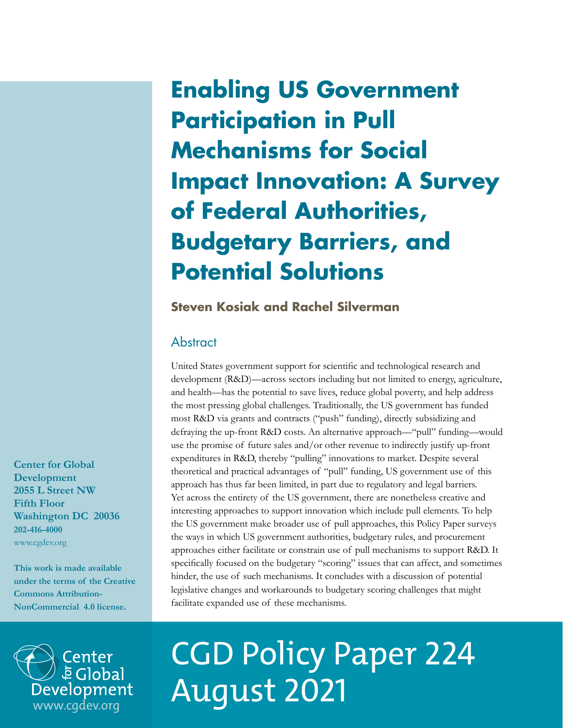## **Enabling US Government Participation in Pull Mechanisms for Social Impact Innovation: A Survey of Federal Authorities, Budgetary Barriers, and Potential Solutions**

## **Steven Kosiak and Rachel Silverman**

## **Abstract**

United States government support for scientific and technological research and development (R&D)—across sectors including but not limited to energy, agriculture, and health—has the potential to save lives, reduce global poverty, and help address the most pressing global challenges. Traditionally, the US government has funded most R&D via grants and contracts ("push" funding), directly subsidizing and defraying the up-front R&D costs. An alternative approach—"pull" funding—would use the promise of future sales and/or other revenue to indirectly justify up-front expenditures in R&D, thereby "pulling" innovations to market. Despite several theoretical and practical advantages of "pull" funding, US government use of this approach has thus far been limited, in part due to regulatory and legal barriers. Yet across the entirety of the US government, there are nonetheless creative and interesting approaches to support innovation which include pull elements. To help the US government make broader use of pull approaches, this Policy Paper surveys the ways in which US government authorities, budgetary rules, and procurement approaches either facilitate or constrain use of pull mechanisms to support R&D. It specifically focused on the budgetary "scoring" issues that can affect, and sometimes hinder, the use of such mechanisms. It concludes with a discussion of potential legislative changes and workarounds to budgetary scoring challenges that might facilitate expanded use of these mechanisms.



# CGD Policy Paper 224 We Global<br>Development August 2021

**Center for Global Development 2055 L Street NW Fifth Floor Washington DC 20036 202-416-4000**  [www.cgdev.org](http://www.cgdev.org)

**This work is made available under the terms of the Creative Commons Attribution-NonCommercial 4.0 license.**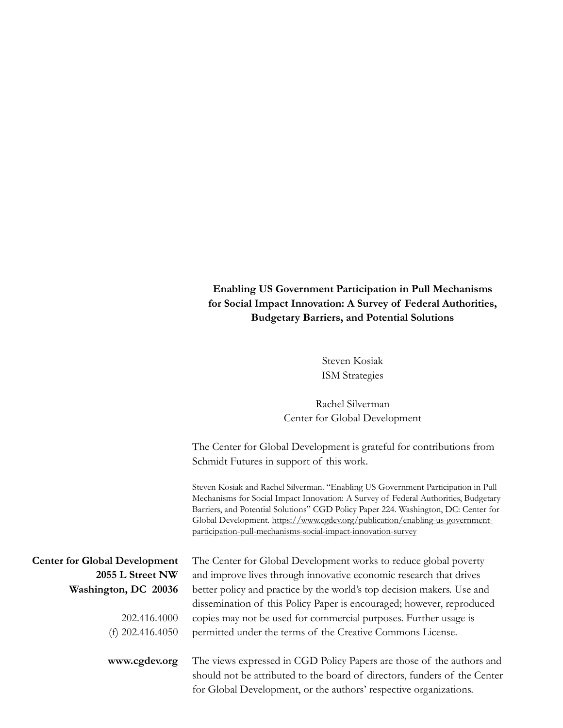## **Enabling US Government Participation in Pull Mechanisms for Social Impact Innovation: A Survey of Federal Authorities, Budgetary Barriers, and Potential Solutions**

Steven Kosiak ISM Strategies

Rachel Silverman Center for Global Development

The Center for Global Development is grateful for contributions from Schmidt Futures in support of this work.

Steven Kosiak and Rachel Silverman. "Enabling US Government Participation in Pull Mechanisms for Social Impact Innovation: A Survey of Federal Authorities, Budgetary Barriers, and Potential Solutions" CGD Policy Paper 224. Washington, DC: Center for Global Development. https://www.cgdev.org/publication/enabling-us-governmentparticipation-pull-mechanisms-social-impact-innovation-survey

for Global Development, or the authors' respective organizations.

| <b>Center for Global Development</b> | The Center for Global Development works to reduce global poverty          |  |  |
|--------------------------------------|---------------------------------------------------------------------------|--|--|
| 2055 L Street NW                     | and improve lives through innovative economic research that drives        |  |  |
| Washington, DC 20036                 | better policy and practice by the world's top decision makers. Use and    |  |  |
|                                      | dissemination of this Policy Paper is encouraged; however, reproduced     |  |  |
| 202.416.4000                         | copies may not be used for commercial purposes. Further usage is          |  |  |
| (f) $202.416.4050$                   | permitted under the terms of the Creative Commons License.                |  |  |
|                                      |                                                                           |  |  |
| www.cgdev.org                        | The views expressed in CGD Policy Papers are those of the authors and     |  |  |
|                                      | should not be attributed to the board of directors, funders of the Center |  |  |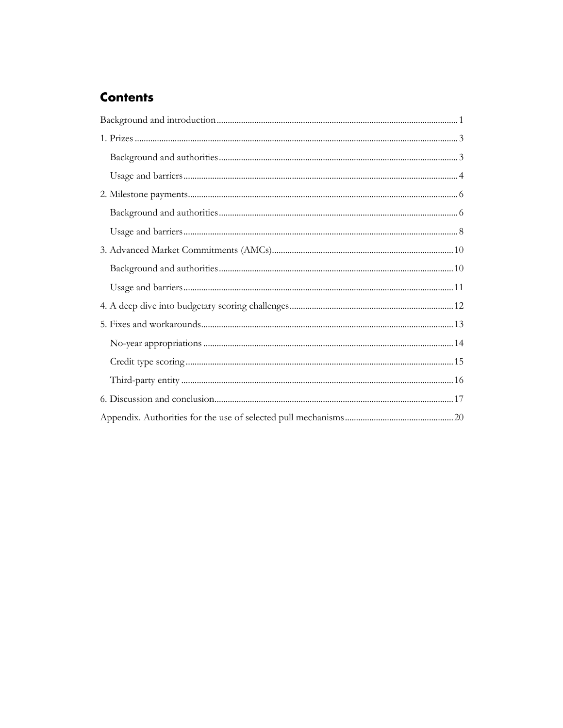## **Contents**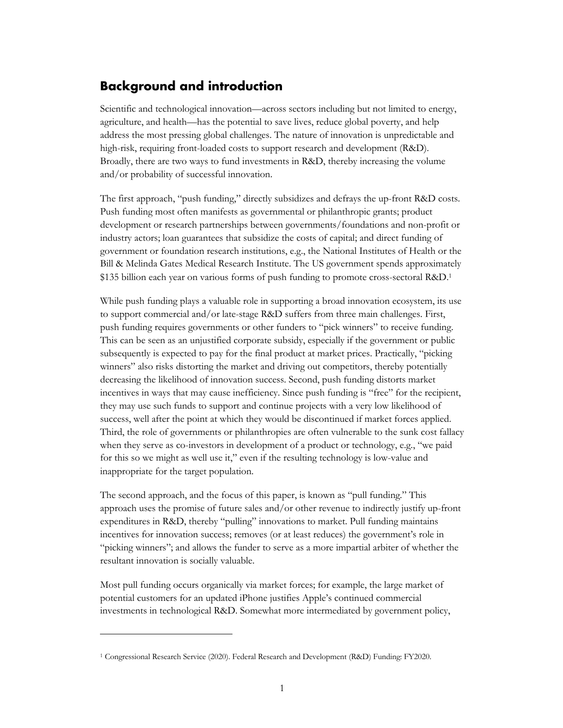## <span id="page-3-0"></span>**Background and introduction**

Scientific and technological innovation—across sectors including but not limited to energy, agriculture, and health—has the potential to save lives, reduce global poverty, and help address the most pressing global challenges. The nature of innovation is unpredictable and high-risk, requiring front-loaded costs to support research and development (R&D). Broadly, there are two ways to fund investments in R&D, thereby increasing the volume and/or probability of successful innovation.

The first approach, "push funding," directly subsidizes and defrays the up-front R&D costs. Push funding most often manifests as governmental or philanthropic grants; product development or research partnerships between governments/foundations and non-profit or industry actors; loan guarantees that subsidize the costs of capital; and direct funding of government or foundation research institutions, e.g., the National Institutes of Health or the Bill & Melinda Gates Medical Research Institute. The US government spends approximately \$135 billion each year on various forms of push funding to promote cross-sectoral R&D.<sup>1</sup>

While push funding plays a valuable role in supporting a broad innovation ecosystem, its use to support commercial and/or late-stage R&D suffers from three main challenges. First, push funding requires governments or other funders to "pick winners" to receive funding. This can be seen as an unjustified corporate subsidy, especially if the government or public subsequently is expected to pay for the final product at market prices. Practically, "picking winners" also risks distorting the market and driving out competitors, thereby potentially decreasing the likelihood of innovation success. Second, push funding distorts market incentives in ways that may cause inefficiency. Since push funding is "free" for the recipient, they may use such funds to support and continue projects with a very low likelihood of success, well after the point at which they would be discontinued if market forces applied. Third, the role of governments or philanthropies are often vulnerable to the sunk cost fallacy when they serve as co-investors in development of a product or technology, e.g., "we paid for this so we might as well use it," even if the resulting technology is low-value and inappropriate for the target population.

The second approach, and the focus of this paper, is known as "pull funding." This approach uses the promise of future sales and/or other revenue to indirectly justify up-front expenditures in R&D, thereby "pulling" innovations to market. Pull funding maintains incentives for innovation success; removes (or at least reduces) the government's role in "picking winners"; and allows the funder to serve as a more impartial arbiter of whether the resultant innovation is socially valuable.

Most pull funding occurs organically via market forces; for example, the large market of potential customers for an updated iPhone justifies Apple's continued commercial investments in technological R&D. Somewhat more intermediated by government policy,

<span id="page-3-1"></span><sup>1</sup> Congressional Research Service (2020). Federal Research and Development (R&D) Funding: FY2020.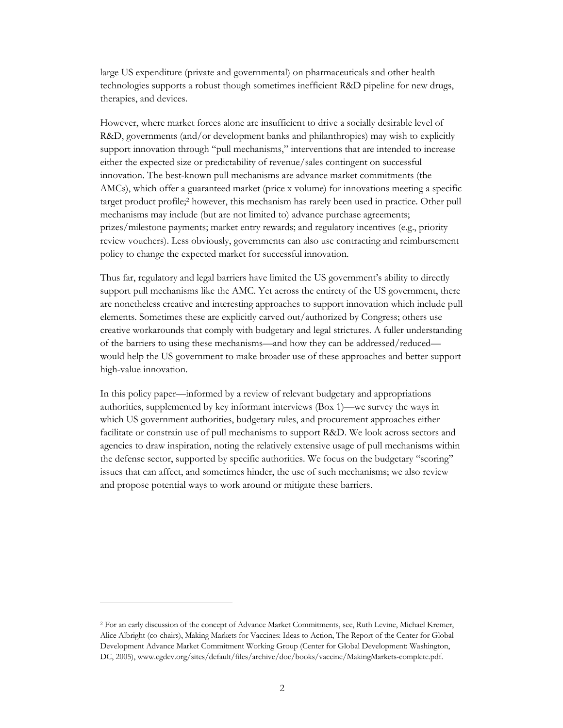large US expenditure (private and governmental) on pharmaceuticals and other health technologies supports a robust though sometimes inefficient R&D pipeline for new drugs, therapies, and devices.

However, where market forces alone are insufficient to drive a socially desirable level of R&D, governments (and/or development banks and philanthropies) may wish to explicitly support innovation through "pull mechanisms," interventions that are intended to increase either the expected size or predictability of revenue/sales contingent on successful innovation. The best-known pull mechanisms are advance market commitments (the AMCs), which offer a guaranteed market (price x volume) for innovations meeting a specific target product profile[;2](#page-4-0) however, this mechanism has rarely been used in practice. Other pull mechanisms may include (but are not limited to) advance purchase agreements; prizes/milestone payments; market entry rewards; and regulatory incentives (e.g., priority review vouchers). Less obviously, governments can also use contracting and reimbursement policy to change the expected market for successful innovation.

Thus far, regulatory and legal barriers have limited the US government's ability to directly support pull mechanisms like the AMC. Yet across the entirety of the US government, there are nonetheless creative and interesting approaches to support innovation which include pull elements. Sometimes these are explicitly carved out/authorized by Congress; others use creative workarounds that comply with budgetary and legal strictures. A fuller understanding of the barriers to using these mechanisms—and how they can be addressed/reduced would help the US government to make broader use of these approaches and better support high-value innovation.

In this policy paper—informed by a review of relevant budgetary and appropriations authorities, supplemented by key informant interviews (Box 1)—we survey the ways in which US government authorities, budgetary rules, and procurement approaches either facilitate or constrain use of pull mechanisms to support R&D. We look across sectors and agencies to draw inspiration, noting the relatively extensive usage of pull mechanisms within the defense sector, supported by specific authorities. We focus on the budgetary "scoring" issues that can affect, and sometimes hinder, the use of such mechanisms; we also review and propose potential ways to work around or mitigate these barriers.

<span id="page-4-0"></span><sup>2</sup> For an early discussion of the concept of Advance Market Commitments, see, Ruth Levine, Michael Kremer, Alice Albright (co-chairs), Making Markets for Vaccines: Ideas to Action, The Report of the Center for Global Development Advance Market Commitment Working Group (Center for Global Development: Washington, DC, 2005), www.cgdev.org/sites/default/files/archive/doc/books/vaccine/MakingMarkets-complete.pdf.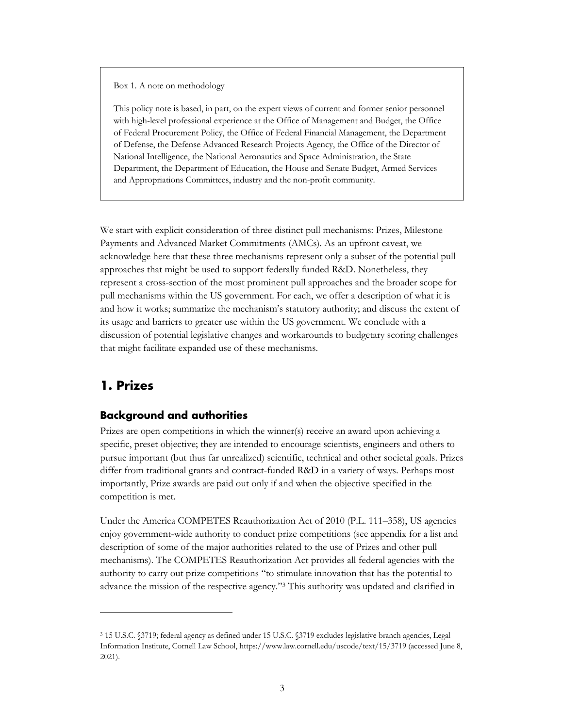Box 1. A note on methodology

This policy note is based, in part, on the expert views of current and former senior personnel with high-level professional experience at the Office of Management and Budget, the Office of Federal Procurement Policy, the Office of Federal Financial Management, the Department of Defense, the Defense Advanced Research Projects Agency, the Office of the Director of National Intelligence, the National Aeronautics and Space Administration, the State Department, the Department of Education, the House and Senate Budget, Armed Services and Appropriations Committees, industry and the non-profit community.

We start with explicit consideration of three distinct pull mechanisms: Prizes, Milestone Payments and Advanced Market Commitments (AMCs). As an upfront caveat, we acknowledge here that these three mechanisms represent only a subset of the potential pull approaches that might be used to support federally funded R&D. Nonetheless, they represent a cross-section of the most prominent pull approaches and the broader scope for pull mechanisms within the US government. For each, we offer a description of what it is and how it works; summarize the mechanism's statutory authority; and discuss the extent of its usage and barriers to greater use within the US government. We conclude with a discussion of potential legislative changes and workarounds to budgetary scoring challenges that might facilitate expanded use of these mechanisms.

## <span id="page-5-0"></span>**1. Prizes**

#### <span id="page-5-1"></span>**Background and authorities**

Prizes are open competitions in which the winner(s) receive an award upon achieving a specific, preset objective; they are intended to encourage scientists, engineers and others to pursue important (but thus far unrealized) scientific, technical and other societal goals. Prizes differ from traditional grants and contract-funded R&D in a variety of ways. Perhaps most importantly, Prize awards are paid out only if and when the objective specified in the competition is met.

Under the America COMPETES Reauthorization Act of 2010 (P.L. 111–358), US agencies enjoy government-wide authority to conduct prize competitions (see appendix for a list and description of some of the major authorities related to the use of Prizes and other pull mechanisms). The COMPETES Reauthorization Act provides all federal agencies with the authority to carry out prize competitions "to stimulate innovation that has the potential to advance the mission of the respective agency.["3](#page-5-2) This authority was updated and clarified in

<span id="page-5-2"></span><sup>3</sup> 15 U.S.C. §3719; federal agency as define[d under 15 U.S.C. §3719 excludes legislative branch ag](https://www.law.cornell.edu/uscode/text/15/3719)encies, Legal Information Institute, Cornell Law School, https://www.law.cornell.edu/uscode/text/15/3719 (accessed June 8, 2021).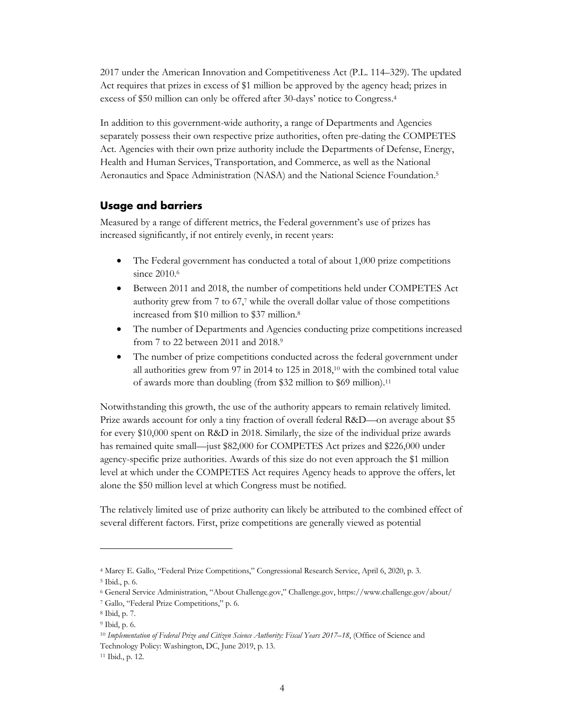2017 under the American Innovation and Competitiveness Act (P.L. 114–329). The updated Act requires that prizes in excess of \$1 million be approved by the agency head; prizes in excess of \$50 million can only be offered after 30-days' notice to Congress[.4](#page-6-1)

In addition to this government-wide authority, a range of Departments and Agencies separately possess their own respective prize authorities, often pre-dating the COMPETES Act. Agencies with their own prize authority include the Departments of Defense, Energy, Health and Human Services, Transportation, and Commerce, as well as the National Aeronautics and Space Administration (NASA) and the National Science Foundation[.5](#page-6-2)

#### <span id="page-6-0"></span>**Usage and barriers**

Measured by a range of different metrics, the Federal government's use of prizes has increased significantly, if not entirely evenly, in recent years:

- The Federal government has conducted a total of about 1,000 prize competitions since 2010.<sup>6</sup>
- Between 2011 and 2018, the number of competitions held under COMPETES Act authority grew from 7 to 67, [7](#page-6-4) while the overall dollar value of those competitions increased from \$10 million to \$37 million[.8](#page-6-5)
- The number of Departments and Agencies conducting prize competitions increased from 7 to 22 between 2011 and 2018[.9](#page-6-6)
- The number of prize competitions conducted across the federal government under all authorities grew from 97 in 2014 to 125 in 2018[,10](#page-6-7) with the combined total value of awards more than doubling (from \$32 million to \$69 million)[.11](#page-6-8)

Notwithstanding this growth, the use of the authority appears to remain relatively limited. Prize awards account for only a tiny fraction of overall federal R&D—on average about \$5 for every \$10,000 spent on R&D in 2018. Similarly, the size of the individual prize awards has remained quite small—just \$82,000 for COMPETES Act prizes and \$226,000 under agency-specific prize authorities. Awards of this size do not even approach the \$1 million level at which under the COMPETES Act requires Agency heads to approve the offers, let alone the \$50 million level at which Congress must be notified.

The relatively limited use of prize authority can likely be attributed to the combined effect of several different factors. First, prize competitions are generally viewed as potential

<span id="page-6-2"></span><span id="page-6-1"></span><sup>4</sup> Marcy E. Gallo, "Federal Prize Competitions," Congressional Research Service, April 6, 2020, p. 3.

<span id="page-6-3"></span><sup>5</sup> Ibid., p. 6.

<span id="page-6-4"></span><sup>6</sup> General Service Administration, "About Challenge.gov," Challenge.gov, https://www.challenge.gov/about/

<span id="page-6-5"></span><sup>7</sup> Gallo, "Federal Prize Competitions," p. 6.

<span id="page-6-6"></span><sup>8</sup> Ibid, p. 7.

<span id="page-6-7"></span><sup>9</sup> Ibid, p. 6.

<span id="page-6-8"></span><sup>10</sup> *Implementation of Federal Prize and Citizen Science Authority: Fiscal Years 2017–18*, (Office of Science and Technology Policy: Washington, DC, June 2019, p. 13. <sup>11</sup> Ibid., p. 12.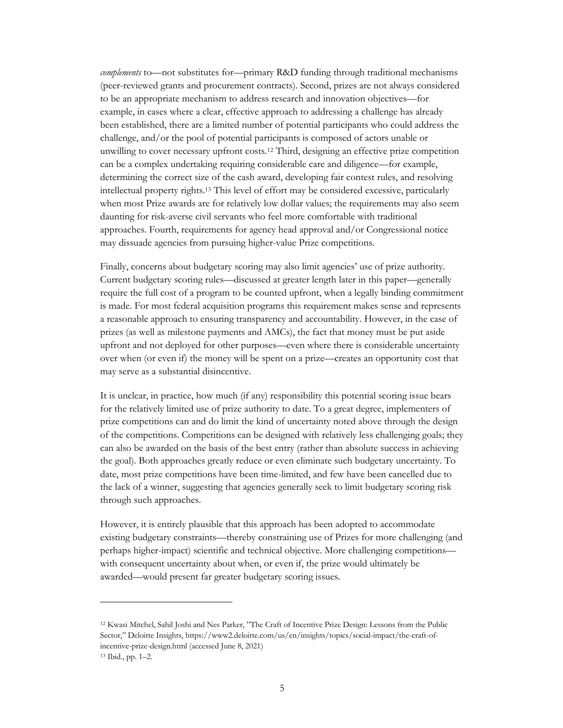*complements* to—not substitutes for—primary R&D funding through traditional mechanisms (peer-reviewed grants and procurement contracts). Second, prizes are not always considered to be an appropriate mechanism to address research and innovation objectives—for example, in cases where a clear, effective approach to addressing a challenge has already been established, there are a limited number of potential participants who could address the challenge, and/or the pool of potential participants is composed of actors unable or unwilling to cover necessary upfront costs[.12](#page-7-0) Third, designing an effective prize competition can be a complex undertaking requiring considerable care and diligence—for example, determining the correct size of the cash award, developing fair contest rules, and resolving intellectual property rights. [13](#page-7-1) This level of effort may be considered excessive, particularly when most Prize awards are for relatively low dollar values; the requirements may also seem daunting for risk-averse civil servants who feel more comfortable with traditional approaches. Fourth, requirements for agency head approval and/or Congressional notice may dissuade agencies from pursuing higher-value Prize competitions.

Finally, concerns about budgetary scoring may also limit agencies' use of prize authority. Current budgetary scoring rules—discussed at greater length later in this paper—generally require the full cost of a program to be counted upfront, when a legally binding commitment is made. For most federal acquisition programs this requirement makes sense and represents a reasonable approach to ensuring transparency and accountability. However, in the case of prizes (as well as milestone payments and AMCs), the fact that money must be put aside upfront and not deployed for other purposes—even where there is considerable uncertainty over when (or even if) the money will be spent on a prize—creates an opportunity cost that may serve as a substantial disincentive.

It is unclear, in practice, how much (if any) responsibility this potential scoring issue bears for the relatively limited use of prize authority to date. To a great degree, implementers of prize competitions can and do limit the kind of uncertainty noted above through the design of the competitions. Competitions can be designed with relatively less challenging goals; they can also be awarded on the basis of the best entry (rather than absolute success in achieving the goal). Both approaches greatly reduce or even eliminate such budgetary uncertainty. To date, most prize competitions have been time-limited, and few have been cancelled due to the lack of a winner, suggesting that agencies generally seek to limit budgetary scoring risk through such approaches.

However, it is entirely plausible that this approach has been adopted to accommodate existing budgetary constraints—thereby constraining use of Prizes for more challenging (and perhaps higher-impact) scientific and technical objective. More challenging competitions with consequent uncertainty about when, or even if, the prize would ultimately be awarded—would present far greater budgetary scoring issues.

<span id="page-7-0"></span><sup>12</sup> Kwasi Mitchel, Sahil Joshi and Nes Parker, "The Craft of Incentive Prize Design: Lessons from the Public Sector," Deloitte Insights[, https://www2.deloitte.com/us/en/insights/topics/social-impact/the-craft-of](https://www2.deloitte.com/us/en/insights/topics/social-impact/the-craft-of-incentive-prize-design.html)[incentive-prize-design.html](https://www2.deloitte.com/us/en/insights/topics/social-impact/the-craft-of-incentive-prize-design.html) (accessed June 8, 2021)

<span id="page-7-1"></span><sup>13</sup> Ibid., pp. 1–2.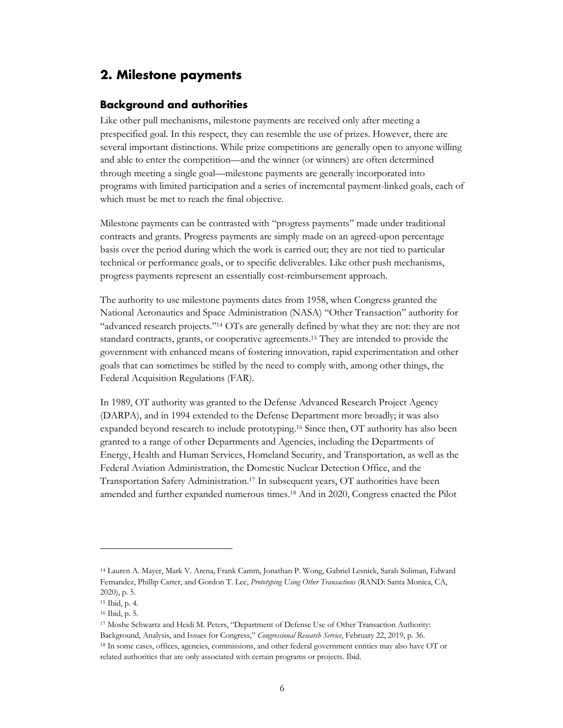## <span id="page-8-0"></span>**2. Milestone payments**

#### <span id="page-8-1"></span>**Background and authorities**

Like other pull mechanisms, milestone payments are received only after meeting a prespecified goal. In this respect, they can resemble the use of prizes. However, there are several important distinctions. While prize competitions are generally open to anyone willing and able to enter the competition—and the winner (or winners) are often determined through meeting a single goal—milestone payments are generally incorporated into programs with limited participation and a series of incremental payment-linked goals, each of which must be met to reach the final objective.

Milestone payments can be contrasted with "progress payments" made under traditional contracts and grants. Progress payments are simply made on an agreed-upon percentage basis over the period during which the work is carried out; they are not tied to particular technical or performance goals, or to specific deliverables. Like other push mechanisms, progress payments represent an essentially cost-reimbursement approach.

The authority to use milestone payments dates from 1958, when Congress granted the National Aeronautics and Space Administration (NASA) "Other Transaction" authority for "advanced research projects.["14](#page-8-2) OTs are generally defined by what they are not: they are not standard contracts, grants, or cooperative agreements[.15](#page-8-3) They are intended to provide the government with enhanced means of fostering innovation, rapid experimentation and other goals that can sometimes be stifled by the need to comply with, among other things, the Federal Acquisition Regulations (FAR).

In 1989, OT authority was granted to the Defense Advanced Research Project Agency (DARPA), and in 1994 extended to the Defense Department more broadly; it was also expanded beyond research to include prototyping[.16](#page-8-4) Since then, OT authority has also been granted to a range of other Departments and Agencies, including the Departments of Energy, Health and Human Services, Homeland Security, and Transportation, as well as the Federal Aviation Administration, the Domestic Nuclear Detection Office, and the Transportation Safety Administration.[17](#page-8-5) In subsequent years, OT authorities have been amended and further expanded numerous times[.18](#page-8-6) And in 2020, Congress enacted the Pilot

<span id="page-8-2"></span><sup>14</sup> Lauren A. Mayer, Mark V. Arena, Frank Camm, Jonathan P. Wong, Gabriel Lesnick, Sarah Soliman, Edward Fernandez, Phillip Carter, and Gordon T. Lee, *Prototyping Using Other Transactions* (RAND: Santa Monica, CA, 2020), p. 5.

<span id="page-8-4"></span><span id="page-8-3"></span><sup>15</sup> Ibid, p. 4.

<span id="page-8-5"></span><sup>16</sup> Ibid, p. 5.

<span id="page-8-6"></span><sup>17</sup> Moshe Schwartz and Heidi M. Peters, "Department of Defense Use of Other Transaction Authority: Background, Analysis, and Issues for Congress," *Congressional Research Service*, February 22, 2019, p. 36. <sup>18</sup> In some cases, offices, agencies, commissions, and other federal government entities may also have OT or

related authorities that are only associated with certain programs or projects. Ibid.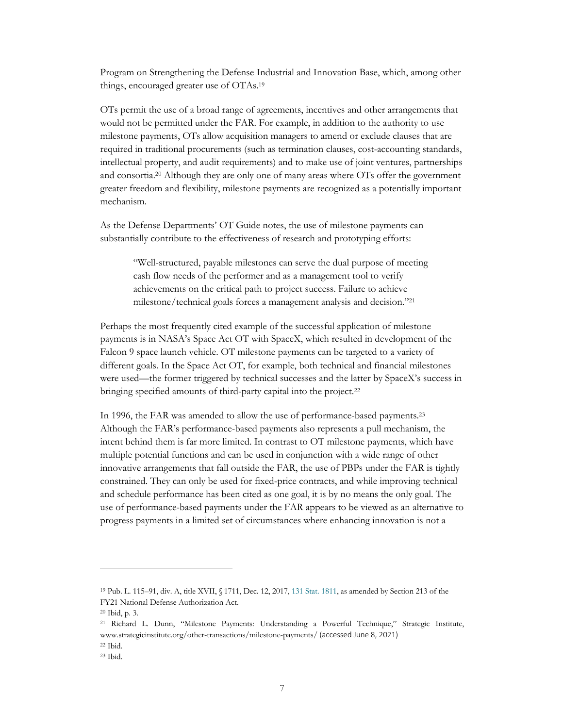Program on Strengthening the Defense Industrial and Innovation Base, which, among other things, encouraged greater use of OTAs[.19](#page-9-0)

OTs permit the use of a broad range of agreements, incentives and other arrangements that would not be permitted under the FAR. For example, in addition to the authority to use milestone payments, OTs allow acquisition managers to amend or exclude clauses that are required in traditional procurements (such as termination clauses, cost-accounting standards, intellectual property, and audit requirements) and to make use of joint ventures, partnerships and consortia[.20](#page-9-1) Although they are only one of many areas where OTs offer the government greater freedom and flexibility, milestone payments are recognized as a potentially important mechanism.

As the Defense Departments' OT Guide notes, the use of milestone payments can substantially contribute to the effectiveness of research and prototyping efforts:

> "Well-structured, payable milestones can serve the dual purpose of meeting cash flow needs of the performer and as a management tool to verify achievements on the critical path to project success. Failure to achieve milestone/technical goals forces a management analysis and decision.["21](#page-9-2)

Perhaps the most frequently cited example of the successful application of milestone payments is in NASA's Space Act OT with SpaceX, which resulted in development of the Falcon 9 space launch vehicle. OT milestone payments can be targeted to a variety of different goals. In the Space Act OT, for example, both technical and financial milestones were used—the former triggered by technical successes and the latter by SpaceX's success in bringing specified amounts of third-party capital into the project.<sup>22</sup>

In 1996, the FAR was amended to allow the use of performance-based payments[.23](#page-9-4) Although the FAR's performance-based payments also represents a pull mechanism, the intent behind them is far more limited. In contrast to OT milestone payments, which have multiple potential functions and can be used in conjunction with a wide range of other innovative arrangements that fall outside the FAR, the use of PBPs under the FAR is tightly constrained. They can only be used for fixed-price contracts, and while improving technical and schedule performance has been cited as one goal, it is by no means the only goal. The use of performance-based payments under the FAR appears to be viewed as an alternative to progress payments in a limited set of circumstances where enhancing innovation is not a

<span id="page-9-1"></span><span id="page-9-0"></span><sup>19</sup> Pub. L. 115–91, div. A, title XVII, § 1711, Dec. 12, 2017, 131 Stat. 1811, as amended by Section 213 of the FY21 National Defense Authorization Act.

<span id="page-9-2"></span><sup>20</sup> Ibid, p. 3.

<span id="page-9-3"></span><sup>21</sup> [Richard L. Dunn, "Milestone Payments: Understanding a](http://www.strategicinstitute.org/other-transactions/milestone-payments/) Powerful Technique," Strategic Institute, www.strategicinstitute.org/other-transactions/milestone-payments/ (accessed June 8, 2021)

<span id="page-9-4"></span><sup>22</sup> Ibid.

<sup>23</sup> Ibid.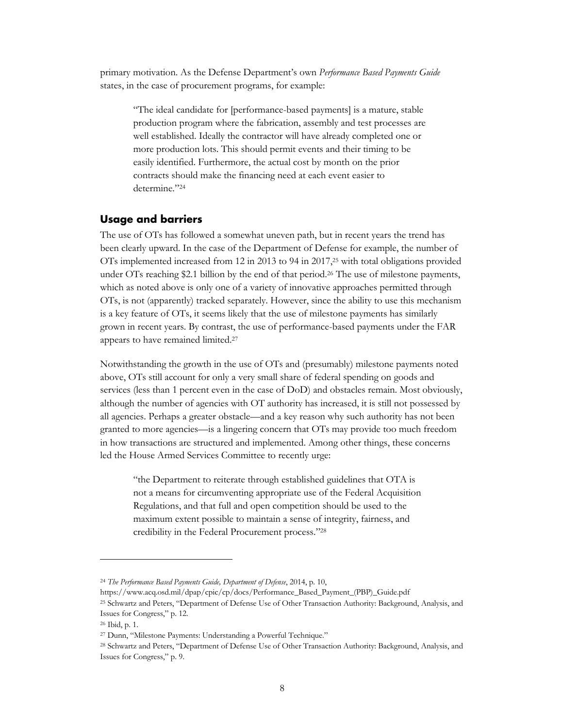primary motivation. As the Defense Department's own *Performance Based Payments Guide* states, in the case of procurement programs, for example:

"The ideal candidate for [performance-based payments] is a mature, stable production program where the fabrication, assembly and test processes are well established. Ideally the contractor will have already completed one or more production lots. This should permit events and their timing to be easily identified. Furthermore, the actual cost by month on the prior contracts should make the financing need at each event easier to determine.["24](#page-10-1)

#### <span id="page-10-0"></span>**Usage and barriers**

The use of OTs has followed a somewhat uneven path, but in recent years the trend has been clearly upward. In the case of the Department of Defense for example, the number of OTs implemented increased from 12 in 2013 to 94 in 2017[,25](#page-10-2) with total obligations provided under OTs reaching \$2.1 billion by the end of that period[.26](#page-10-3) The use of milestone payments, which as noted above is only one of a variety of innovative approaches permitted through OTs, is not (apparently) tracked separately. However, since the ability to use this mechanism is a key feature of OTs, it seems likely that the use of milestone payments has similarly grown in recent years. By contrast, the use of performance-based payments under the FAR appears to have remained limited[.27](#page-10-4)

Notwithstanding the growth in the use of OTs and (presumably) milestone payments noted above, OTs still account for only a very small share of federal spending on goods and services (less than 1 percent even in the case of DoD) and obstacles remain. Most obviously, although the number of agencies with OT authority has increased, it is still not possessed by all agencies. Perhaps a greater obstacle—and a key reason why such authority has not been granted to more agencies—is a lingering concern that OTs may provide too much freedom in how transactions are structured and implemented. Among other things, these concerns led the House Armed Services Committee to recently urge:

"the Department to reiterate through established guidelines that OTA is not a means for circumventing appropriate use of the Federal Acquisition Regulations, and that full and open competition should be used to the maximum extent possible to maintain a sense of integrity, fairness, and credibility in the Federal Procurement process."28

<sup>24</sup> *The Performance Based Payments Guide, Department of Defense*, 2014, p. 10,

<span id="page-10-1"></span>https://www.acq.osd.mil/dpap/cpic/cp/docs/Performance\_Based\_Payment\_(PBP)\_Guide.pdf <sup>25</sup> Schwartz and Peters, "Department of Defense Use of Other Transaction Authority: Background, Analysis, and Issues for Congress," p. 12.

<span id="page-10-2"></span><sup>26</sup> Ibid, p. 1.

<span id="page-10-3"></span><sup>27</sup> Dunn, "Milestone Payments: Understanding a Powerful Technique."

<span id="page-10-4"></span><sup>28</sup> Schwartz and Peters, "Department of Defense Use of Other Transaction Authority: Background, Analysis, and Issues for Congress," p. 9.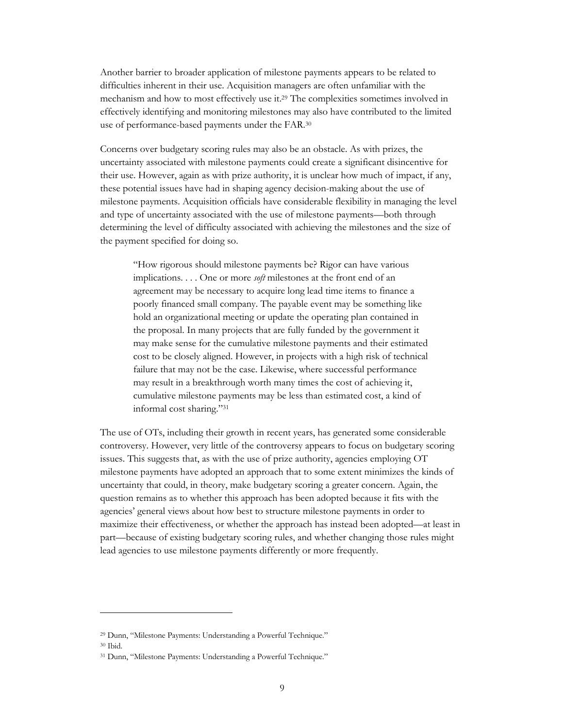Another barrier to broader application of milestone payments appears to be related to difficulties inherent in their use. Acquisition managers a[re](#page-11-0) often unfamiliar with the mechanism and how to most effectively use it.29 The complexities sometimes involved in effectively identifying and monitoring milestones may also have contributed to the limited use of performance-based payments under th[e F](#page-11-1)AR.30

Concerns over budgetary scoring rules may also be an obstacle. As with prizes, the uncertainty associated with milestone payments coul[d](#page-11-2) create a significant disincentive for their use. However, again as with prize authority, it is unclear how much of impact, if any, these potential issues have had in shaping agency decision-making about the use of milestone payments. Acquisition officials have considerable flexibility in managing the level and type of uncertainty associated with the use of milestone payments—both through determining the level of difficulty associated with achieving the milestones and the size of the payment specified for doing so.

"How rigorous should milestone payments be? Rigor can have various implications. . . . One or more *soft* milestones at the front end of an agreement may be necessary to acquire long lead time items to finance a poorly financed small company. The payable event may be something like hold an organizational meeting or update the operating plan contained in the proposal. In many projects that are fully funded by the government it may make sense for the cumulative milestone payments and their estimated cost to be closely aligned. However, in projects with a high risk of technical failure that may not be the case. Likewise, where successful performance may result in a breakthrough worth many times the cost of achieving it, cumulative milestone payments may be less than estimated cost, a kind of informal cost sharing."31

The use of OTs, including their growth in recent years, has generated some considerable controversy. However, very litt[le](#page-11-3) of the controversy appears to focus on budgetary scoring issues. This suggests that, as with the use of prize authority, agencies employing OT milestone payments have adopted an approach that to some extent minimizes the kinds of uncertainty that could, in theory, make budgetary scoring a greater concern. Again, the question remains as to whether this approach has been adopted because it fits with the agencies' general views about how best to structure milestone payments in order to maximize their effectiveness, or whether the approach has instead been adopted—at least in part—because of existing budgetary scoring rules, and whether changing those rules might lead agencies to use milestone payments differently or more frequently.

<span id="page-11-2"></span><span id="page-11-1"></span><span id="page-11-0"></span><sup>29</sup> Dunn, "Milestone Payments: Understanding a Powerful Technique."

<sup>30</sup> Ibid.

<span id="page-11-3"></span><sup>31</sup> Dunn, "Milestone Payments: Understanding a Powerful Technique."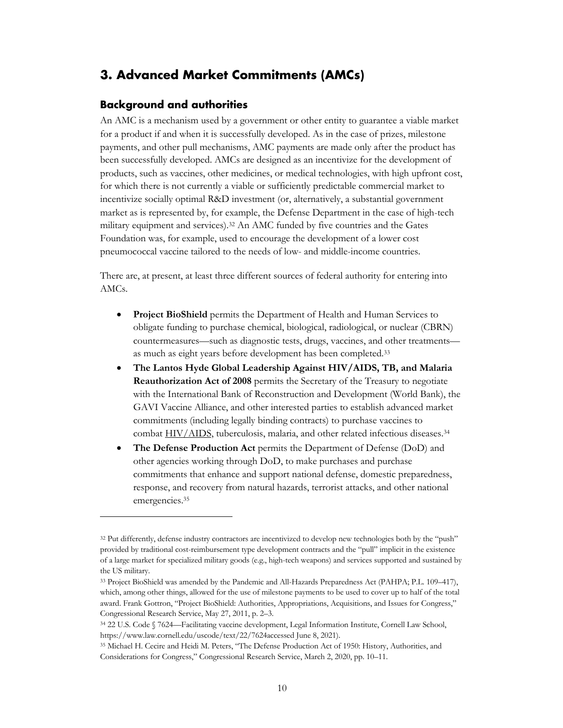## **3. Advanced Market Commitments (AMCs)**

#### <span id="page-12-0"></span>**Background and authorities**

<span id="page-12-1"></span>An AMC is a mechanism used by a government or other entity to guarantee a viable market for a product if and when it is successfully developed. As in the case of prizes, milestone payments, and other pull mechanisms, AMC payments are made only after the product has been successfully developed. AMCs are designed as an incentivize for the development of products, such as vaccines, other medicines, or medical technologies, with high upfront cost, for which there is not currently a viable or sufficiently predictable commercial market to incentivize socially optimal R&D investment (or, alternatively, a substantial government market as is represented by, for example, the Defense Department in the case of high-tech military equipment and services).32 An AMC funded by five countries and the Gates Foundation was, for example, used to encourage the development of a lower cost pneumococcal vaccine tailored to the needs of low- and middle-income countries.

There are, at present, at least thr[ee](#page-12-2) different sources of federal authority for entering into AMCs.

- **Project BioShield** permits the Department of Health and Human Services to obligate funding to purchase chemical, biological, radiological, or nuclear (CBRN) countermeasures—such as diagnostic tests, drugs, vaccines, and other treatments as much as eight years before development has been completed.33
- **The Lantos Hyde Global Leadership Against HIV/AIDS, TB, and Malaria Reauthorization Act of 2008** permits the Secretary of the Treasury to negotiate with the International Bank of Reconstruction and Developme[nt](#page-12-3) (World Bank), the GAVI Vaccine Alliance, and other interested parties to establish advanced market commitments (including legally binding contracts) to purchase vaccines to combat HIV/AIDS, tuberculosis, malaria, and other related infectious diseases.<sup>34</sup>
- **The Defense Production Act** permits the Department of Defense (DoD) and other agencies working through DoD, to make purchases and purchase commitments that enhance and support national defense, domestic preparedne[ss](#page-12-4), respon[se, and recove](https://www.law.cornell.edu/definitions/uscode.php?width=840&height=800&iframe=true&def_id=22-USC-495894255-1887964075&term_occur=999&term_src=)ry from natural hazards, terrorist attacks, and other national emergencies. 35

<span id="page-12-2"></span><sup>&</sup>lt;sup>32</sup> Put differently, defense industry contractors are incentivized to develop new technologies both by the "push" provided by traditional cost-reimbursement type development contracts and the "pull" implicit in the existence of a large market for specialized military goods (e.g., high-tech weapons) and services supported and sustained by the US military.

<span id="page-12-3"></span><sup>33</sup> Project BioShield was amended by the Pandemic and All-Hazards Preparedness Act (PAHPA; P.L. 109–417), which, among other things, allowed for the use of milestone payments to be used to cover up to half of the total award. Frank Gottron, "Project BioShield: Authorities, Appropriations, Acquisitions, and Issues for Congress," Congressional Research Service, May 27, 2011, p. 2–3.

<span id="page-12-4"></span><sup>34</sup> 22 U.S. Code § 7624—Facilitating vaccine development, Legal Information Institute, Cornell Law School, https://www.law.cornell.edu/uscode/text/22/7624accessed June 8, 2021).

<sup>35</sup> Michael H. Cecire and Heidi M. Peters, "The Defense Production Act of 1950: History, Authorities, and Considerations for Congress," Congressional Research Service, March 2, 2020, pp. 10–11.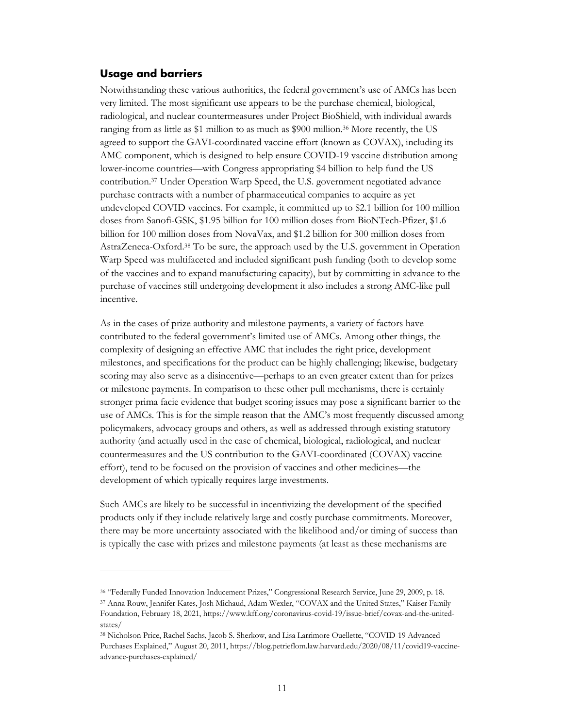#### **Usage and barriers**

<span id="page-13-0"></span>Notwithstanding the[se](#page-13-1) various authorities, the federal government's use of AMCs has been very limited. The most significant use appears to be the purchase chemical, biological, radiological, and nuclear countermeasures under Project BioShield, with individual awards ranging from as little as \$1 million to as much as \$900 million.36 More recently, the US agreed to support the GAVI-coordinated vaccine effort (known as COVAX), including its AMC component, which is designed to help ensure COVID-19 vaccine distribution among lower-income countries—with Congress appropriating \$4 billion to help fund the US contribution.37 Under Operation Warp Speed, the U.S. gover[nm](#page-13-2)ent negotiated advance purchase contracts with a number of pharmaceutical companies to acquire as yet undeveloped COVID vaccines. For example, it committed up to \$2.1 billion for 100 million doses from Sanofi-GSK, \$1.95 billion for 100 million doses from BioNTech-Pfizer, \$1.6 billion for 1[00](#page-13-3) million doses from NovaVax, and \$1.2 billion for 300 million doses from AstraZeneca-Oxford.38 To be sure, the approach used by the U.S. government in Operation Warp Speed was multifaceted and included significant push funding (both to develop some of the vaccines and to expand manufacturing capacity), but by committing in advance to the purchase of vaccines still undergoing development it also includes a strong AMC-like pull incentive.

As in the cases of prize authority and milestone payments, a variety of factors have contributed to the federal government's limited use of AMCs. Among other things, the complexity of designing an effective AMC that includes the right price, development milestones, and specifications for the product can be highly challenging; likewise, budgetary scoring may also serve as a disincentive—perhaps to an even greater extent than for prizes or milestone payments. In comparison to these other pull mechanisms, there is certainly stronger prima facie evidence that budget scoring issues may pose a significant barrier to the use of AMCs. This is for the simple reason that the AMC's most frequently discussed among policymakers, advocacy groups and others, as well as addressed through existing statutory authority (and actually used in the case of chemical, biological, radiological, and nuclear countermeasures and the US contribution to the GAVI-coordinated (COVAX) vaccine effort), tend to be focused on the provision of vaccines and other medicines—the development of which typically requires large investments.

Such AMCs are likely to be successful in incentivizing the development of the specified products only if they include relatively large and costly purchase commitments. Moreover, there may be more uncertainty associated with the likelihood and/or timing of success than is typically the case with prizes and milestone payments (at least as these mechanisms are

<span id="page-13-3"></span><span id="page-13-2"></span><span id="page-13-1"></span><sup>36</sup> "Federally Funded Innovation Inducement Prizes," Congressional Research Service, June 29, 2009, p. 18. <sup>37</sup> Anna Rouw, Jennifer Kates, Josh Michaud, Adam Wexler, "COVAX and the United States," Kaiser Family Foundation, February 18, 2021, https://www.kff.org/coronavirus-covid-19/issue-brief/covax-and-the-unitedstates/

<sup>38</sup> Nicholson Price, Rachel Sachs, Jacob S. Sherkow, and Lisa Larrimore Ouellette, "COVID-19 Advanced Purchases Explained," August 20, 2011, https://blog.petrieflom.law.harvard.edu/2020/08/11/covid19-vaccineadvance-purchases-explained/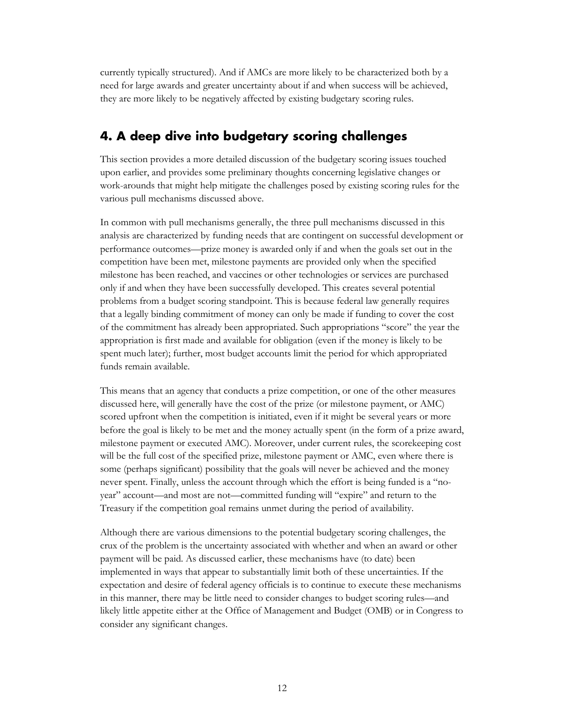currently typically structured). And if AMCs are more likely to be characterized both by a need for large awards and greater uncertainty about if and when success will be achieved, they are more likely to be negatively affected by existing budgetary scoring rules.

## **4. A deep dive into budgetary scoring challenges**

This section provides a more detailed discussion of the budgetary scoring issues touched upon earlier, and provides some preliminary thoughts concerning legislative changes or work-arounds that might help mitigate the challenges posed by existing scoring rules for the various pull mechanisms discussed above.

<span id="page-14-0"></span>In common with pull mechanisms generally, the three pull mechanisms discussed in this analysis are characterized by funding needs that are contingent on successful development or performance outcomes—prize money is awarded only if and when the goals set out in the competition have been met, milestone payments are provided only when the specified milestone has been reached, and vaccines or other technologies or services are purchased only if and when they have been successfully developed. This creates several potential problems from a budget scoring standpoint. This is because federal law generally requires that a legally binding commitment of money can only be made if funding to cover the cost of the commitment has already been appropriated. Such appropriations "score" the year the appropriation is first made and available for obligation (even if the money is likely to be spent much later); further, most budget accounts limit the period for which appropriated funds remain available.

This means that an agency that conducts a prize competition, or one of the other measures discussed here, will generally have the cost of the prize (or milestone payment, or AMC) scored upfront when the competition is initiated, even if it might be several years or more before the goal is likely to be met and the money actually spent (in the form of a prize award, milestone payment or executed AMC). Moreover, under current rules, the scorekeeping cost will be the full cost of the specified prize, milestone payment or AMC, even where there is some (perhaps significant) possibility that the goals will never be achieved and the money never spent. Finally, unless the account through which the effort is being funded is a "noyear" account—and most are not—committed funding will "expire" and return to the Treasury if the competition goal remains unmet during the period of availability.

Although there are various dimensions to the potential budgetary scoring challenges, the crux of the problem is the uncertainty associated with whether and when an award or other payment will be paid. As discussed earlier, these mechanisms have (to date) been implemented in ways that appear to substantially limit both of these uncertainties. If the expectation and desire of federal agency officials is to continue to execute these mechanisms in this manner, there may be little need to consider changes to budget scoring rules—and likely little appetite either at the Office of Management and Budget (OMB) or in Congress to consider any significant changes.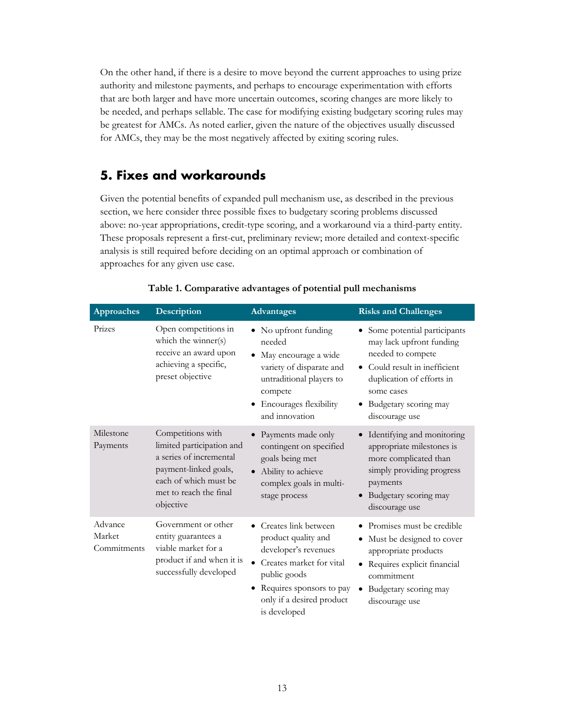On the other hand, if there is a desire to move beyond the current approaches to using prize authority and milestone payments, and perhaps to encourage experimentation with efforts that are both larger and have more uncertain outcomes, scoring changes are more likely to be needed, and perhaps sellable. The case for modifying existing budgetary scoring rules may be greatest for AMCs. As noted earlier, given the nature of the objectives usually discussed for AMCs, they may be the most negatively affected by exiting scoring rules.

## **5. Fixes and workarounds**

<span id="page-15-0"></span>Given the potential benefits of expanded pull mechanism use, as described in the previous section, we here consider three possible fixes to budgetary scoring problems discussed above: no-year appropriations, credit-type scoring, and a workaround via a third-party entity. These proposals represent a first-cut, preliminary review; more detailed and context-specific analysis is still required before deciding on an optimal approach or combination of approaches for any given use case.

| <b>Approaches</b>                | Description                                                                                                                                                        | <b>Advantages</b>                                                                                                                                                                              | <b>Risks and Challenges</b>                                                                                                                                                                       |
|----------------------------------|--------------------------------------------------------------------------------------------------------------------------------------------------------------------|------------------------------------------------------------------------------------------------------------------------------------------------------------------------------------------------|---------------------------------------------------------------------------------------------------------------------------------------------------------------------------------------------------|
| Prizes                           | Open competitions in<br>which the winner(s)<br>receive an award upon<br>achieving a specific,<br>preset objective                                                  | No upfront funding<br>needed<br>May encourage a wide<br>variety of disparate and<br>untraditional players to<br>compete<br><b>Encourages flexibility</b><br>and innovation                     | Some potential participants<br>may lack upfront funding<br>needed to compete<br>Could result in inefficient<br>duplication of efforts in<br>some cases<br>Budgetary scoring may<br>discourage use |
| Milestone<br>Payments            | Competitions with<br>limited participation and<br>a series of incremental<br>payment-linked goals,<br>each of which must be<br>met to reach the final<br>objective | Payments made only<br>contingent on specified<br>goals being met<br>Ability to achieve<br>complex goals in multi-<br>stage process                                                             | Identifying and monitoring<br>appropriate milestones is<br>more complicated than<br>simply providing progress<br>payments<br>Budgetary scoring may<br>$\bullet$<br>discourage use                 |
| Advance<br>Market<br>Commitments | Government or other<br>entity guarantees a<br>viable market for a<br>product if and when it is<br>successfully developed                                           | • Creates link between<br>product quality and<br>developer's revenues<br>• Creates market for vital<br>public goods<br>• Requires sponsors to pay<br>only if a desired product<br>is developed | • Promises must be credible<br>Must be designed to cover<br>appropriate products<br>• Requires explicit financial<br>commitment<br>Budgetary scoring may<br>$\bullet$<br>discourage use           |

#### **Table 1. Comparative advantages of potential pull mechanisms**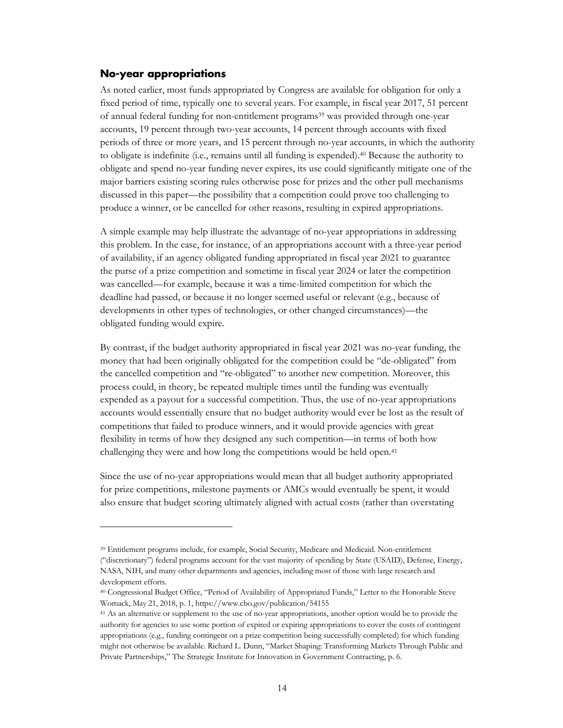#### **No-year appropriations**

<span id="page-16-0"></span>As noted earlier, most funds appropriated by Congress are available for obligation for only a fixed period of time, typically one to several years. For example, in fiscal year 2017, 51 percent of annual federal funding for non-entitlement programs39 was provided through one-year accounts, 19 percent through two-year accounts, 14 percent through accounts with fixed periods of three or more years, and 15 percent through no-year accounts, in which the authority to obligate is indefinite (i.e., remains until all funding is expended).40 Because the authority to obligate and spend no-year funding never expires, its use could significantly mitigate one of the major barriers existing scoring rules otherwise pose for [pr](#page-16-1)izes and the other pull mechanisms discussed in this paper—the possibility that a competition could prove too challenging to produce a winner, or be cancelled for other reasons, resulting in expired appropriations.

A simple example may help illustrate the advantage of no-year ap[pro](#page-16-2)priations in addressing this problem. In the case, for instance, of an appropriations account with a three-year period of availability, if an agency obligated funding appropriated in fiscal year 2021 to guarantee the purse of a prize competition and sometime in fiscal year 2024 or later the competition was cancelled—for example, because it was a time-limited competition for which the deadline had passed, or because it no longer seemed useful or relevant (e.g., because of developments in other types of technologies, or other changed circumstances)—the obligated funding would expire.

By contrast, if the budget authority appropriated in fiscal year 2021 was no-year funding, the money that had been originally obligated for the competition could be "de-obligated" from the cancelled competition and "re-obligated" to another new competition. Moreover, this process could, in theory, be repeated multiple times until the funding was eventually expended as a payout for a successful competition. Thus, the use of no-year appropriations accounts would essentially ensure that no budget authority would ever be lost as the result of competitions that failed to produce winners, and it would provide agencies with great flexibility in terms of how they designed any such competition—in terms of both how challenging they were and how long the competitions would be held open. 41

Since the use of no-year appropriations would mean that all budget authority appropriated for prize competitions, milestone payments or AMCs would eventually be spent, it would also ensure that budget scoring ultimately aligned with actual costs (rather than overstating

<sup>39</sup> Entitlement programs include, for example, Social Security, Medicare and Medicaid. Non-entitlement ("discretionary") federal programs account for the vast majority of spending by State (USAID), Defense, Energy, NASA, NIH, and many other departments and agencies, including most of those with large research and development efforts.

<span id="page-16-1"></span><sup>40</sup> Congressional Budget Office, "Period of Availability of Appropriated Funds," Letter to the Honorable Steve Womack, May 21, 2018, p. 1, https://www.cbo.gov/publication/54155

<span id="page-16-2"></span><sup>41</sup> As an alternative or supplement to the use of no-year appropriations, another option would be to provide the authority for agencies to use some portion of expired or expiring appropriations to cover the costs of contingent appropriations (e.g., funding contingent on a prize competition being successfully completed) for which funding might not otherwise be available. Richard L. Dunn, "Market Shaping: Transforming Markets Through Public and Private Partnerships," The Strategic Institute for Innovation in Government Contracting, p. 6.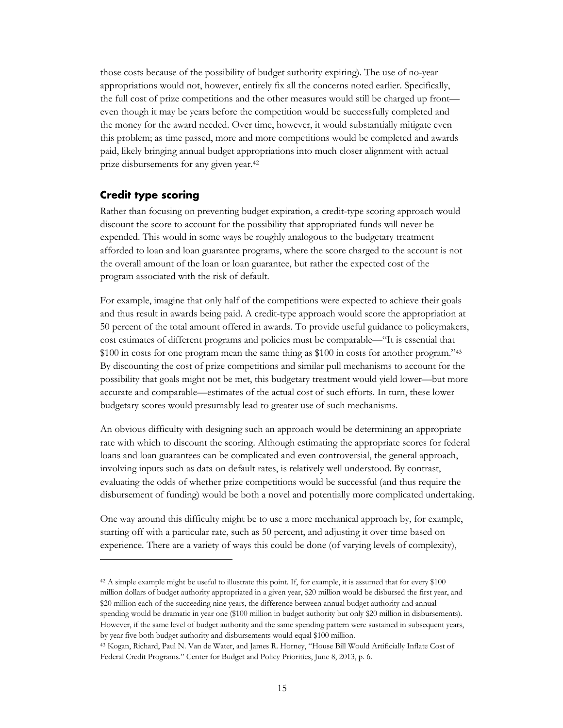those costs because of the possibility of budget authority expiring). The use of no-year appropriations would not, however, entirely fix all the concerns noted earl[ier](#page-17-1). Specifically, the full cost of prize competitions and the other measures would still be charged up front even though it may be years before the competition would be successfully completed and the money for the award needed. Over time, however, it would substantially mitigate even this problem; as time passed, more and more competitions would be completed and awards paid, likely bringing annual budget appropriations into much closer alignment with actual prize disbursements for any given year.42

#### **Credit type scoring**

Rather than focusing on preventing budget expiration, a credit-type scoring approach would discount the score to account for the possibility that appropriated funds will never be expended. This would in some ways b[e r](#page-17-2)oughly analogous to the budgetary treatment afforded to loan and loan guarantee programs, where the score charged to the account is not the overall amount of the loan or loan guarantee, but rather the expected cost of the program associated with the risk of default.

<span id="page-17-0"></span>For example, imagine that only half of the competitions were expected to achieve their goals and thus result in awards being paid. A credit-type approach would score the appropriation at 50 percent of the total amount offered in awards. To provide useful guidance to policymakers, cost estimates of different programs and policies must be comparable—"It is essential that \$100 in costs for one program mean the same thing as \$100 in costs for another program."43 By discounting the cost of prize competitions and similar pull mechanisms to account for the possibility that goals might not be met, this budgetary treatment would yield lower—but more accurate and comparable—estimates of the actual cost of such efforts. In turn, these lower budgetary scores would presumably lead to greater use of such mechanisms.

An obvious difficulty with designing such an approach would be determining an appropria[te](#page-17-3)  rate with which to discount the scoring. Although estimating the appropriate scores for federal loans and loan guarantees can be complicated and even controversial, the general approach, involving inputs such as data on default rates, is relatively well understood. By contrast, evaluating the odds of whether prize competitions would be successful (and thus require the disbursement of funding) would be both a novel and potentially more complicated undertaking.

<span id="page-17-1"></span>One way around this difficulty might be to use a more mechanical approach by, for example, starting off with a particular rate, such as 50 percent, and adjusting it over time based on experience. There are a variety of ways this could be done (of varying levels of complexity),

<span id="page-17-2"></span><sup>42</sup> A simple example might be useful to illustrate this point. If, for example, it is assumed that for every \$100 million dollars of budget authority appropriated in a given year, \$20 million would be disbursed the first year, and \$20 million each of the succeeding nine years, the difference between annual budget authority and annual spending would be dramatic in year one (\$100 million in budget authority but only \$20 million in disbursements). However, if the same level of budget authority and the same spending pattern were sustained in subsequent years, by year five both budget authority and disbursements would equal \$100 million.

<span id="page-17-3"></span><sup>43</sup> Kogan, Richard, Paul N. Van de Water, and James R. Horney, "House Bill Would Artificially Inflate Cost of Federal Credit Programs." Center for Budget and Policy Priorities, June 8, 2013, p. 6.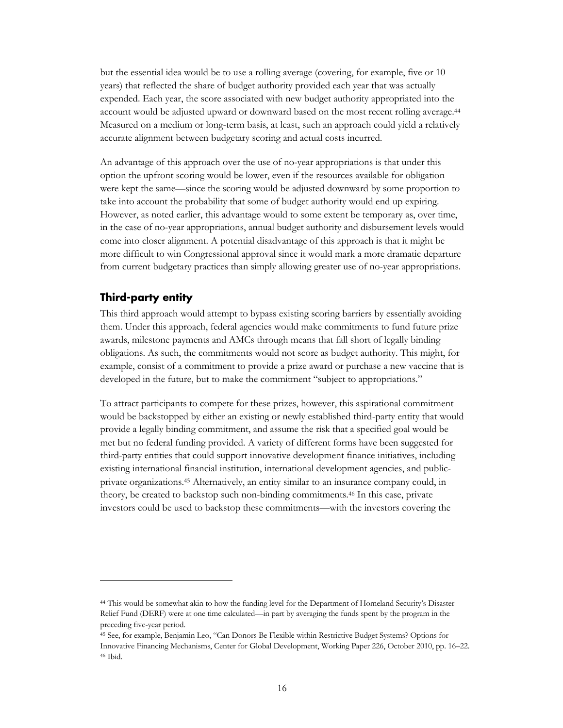but the essential idea would be to use a rolling average (covering, for example, five or 10 years) that reflected the share of budget authority provided each year that was actually expended. Each year, the score associated with new budget authority appropriated into the account would be adjusted upward or downward based on the most recent rolling average.44 Measured on a medium or long-term basis, at least, such an approach could yield a relatively accurate alignment between budgetary scoring and actual costs incurred.

An advantage of this approach over the use of no-year appropriations is that under this option the upfront scoring would be lower, even if the resources available for obligation were kept the same—since the scoring would be adjusted downward by some proportion to take into account the probability that some of budget authority would end up expiring. However, as noted earlier, this advantage would to some extent be temporary as, over time, in the case of no-year appropriations, annual budget authority and disbursement levels would come into closer alignment. A potential disadvantage of this approach is that it might be more difficult to win Congressional approval since it would mark a more dramatic departure from current budgetary practices than simply allowing greater use of no-year appropriatio[ns.](#page-18-1)

#### **Third-party entity**

This third approach would attempt to bypass existing scoring barriers by essentially avoiding them. Under this approach, federal agencies would make commitments to fund future prize awards, milestone payments and AMCs through means that fall short of legally binding obligations. As such, the commitments would not score as budget authority. This might, for example, consist of a commitment to provide a prize award or purchase a new vaccine that is developed in the future, but to make the commitment "subject to appropriations."

<span id="page-18-0"></span>To attract participants to compete for these prizes, however, this aspirational commitment would be backstopped by either an existing or newly established third-party entity that would provide a legally binding commitment, and assume the risk that a specified goal would be met but no federal funding provided. A variety of different forms have been suggested for third-party entities that could support innovative development finance initiatives, including existing international financial institution, international development agencies, and publicprivate organizations.45 Alternatively, an entity similar to an insurance company could, in theory, be created to backstop such non-binding commitments.46 In this case, private investors could be used to backstop these commitments—with the investors covering the

<sup>44</sup> This would be somewhat akin to how the funding level for the Department of Homeland Security's Disaster Relief Fund (DERF) were at one time calculated—in part by averaging the funds spent by the program in the preceding five-year period.

<span id="page-18-1"></span><sup>45</sup> See, for example, Benjamin Leo, "Can Donors Be Flexible within Restrictive Budget Systems? Options for Innovative Financing Mechanisms, Center for Global Development, Working Paper 226, October 2010, pp. 16–22. <sup>46</sup> Ibid.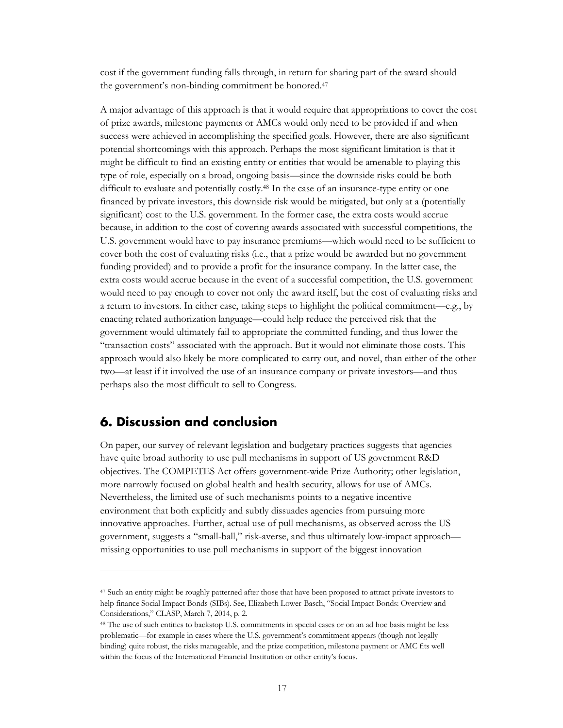cost if the government funding falls through, in return for sharing part of the award should the government's non-binding commitment be honored.47

A major advantage of this approach is that it would require that appropriations to cover the cost of prize awards, mile[sto](#page-19-0)ne payments or AMCs would only need to be provided if and when success were achieved in accomplishing the specified goals. Ho[we](#page-19-1)ver, there are also significant potential shortcomings with this approach. Perhaps the most significant limitation is that it might be difficult to find an existing entity or entities that would be amenable to playing this type of role, especially on a broad, ongoing basis—since [th](#page-19-2)e downside risks could be both difficult to evaluate and potentially costly. <sup>48</sup> In the case of an insurance-type entity or one financed by private investors, this downside risk would be mitigated, but only at a (potentially significant) cost to the U.S. government. In the former case, the extra costs would accrue because, in addition to the cost of covering awards associated with successful competitions, the U.S. government would have to pay insurance premiums—which would need to be sufficient to cover both the cost of evaluating risks (i.e., that a prize would be awarded but no government funding provided) and to provide a profit for the insurance company. In the latter case, the extra costs would accrue because in the e[ve](#page-19-3)nt of a successful competition, the U.S. government would need to pay enough to cover not only the award itself, but the cost of evaluating risks and a return to investors. In either case, taking steps to highlight the political commitment—e.g., by enacting related authorization language—could help reduce the perceived risk that the government would ultimately fail to appropriate the committed funding, and thus lower the "transaction costs" associated with the approach. But it would not eliminate those costs. This approach would also likely be more complicated to carry out, and novel, than either of the other two—at least if it involved the use of an insurance company or private investors—and thus perhaps also the most difficult to sell to Congress.

#### **6. Discussion and conclusion**

On paper, our survey of relevant legislation and budgetary practices suggests that agencies have quite broad authority to use pull mechanisms in support of US government R&D objectives. The COMPETES Act offers government-wide Prize Authority; other legislation, more narrowly focused on global health and health security, allows for use of AMCs. Nevertheless, the limited use of such mechanisms points to a negative incentive environment that both explicitly and subtly dissuades agencies from pursuing more innovative approaches. Further, actual use of pull mechanisms, as observed across the US government, suggests a "small-ball," risk-averse, and thus ultimately low-impact approach missing opportunities to use pull mechanisms in support of the biggest innovation

<span id="page-19-2"></span><span id="page-19-1"></span><span id="page-19-0"></span><sup>47</sup> Such an entity might be roughly patterned after those that have been proposed to attract private investors to help finance Social Impact Bonds (SIBs). See, Elizabeth Lower-Basch, "Social Impact Bonds: Overview and Considerations," CLASP, March 7, 2014, p. 2.

<span id="page-19-3"></span><sup>48</sup> The use of such entities to backstop U.S. commitments in special cases or on an ad hoc basis might be less problematic—for example in cases where the U.S. government's commitment appears (though not legally binding) quite robust, the risks manageable, and the prize competition, milestone payment or AMC fits well within the focus of the International Financial Institution or other entity's focus.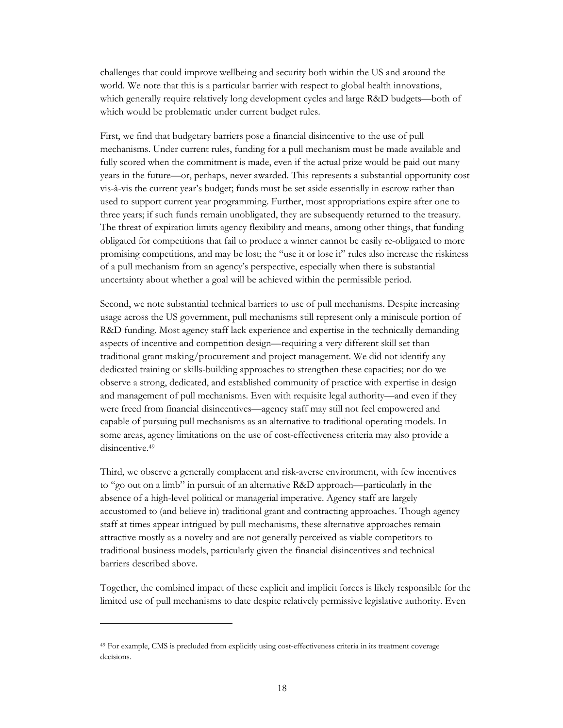<span id="page-20-0"></span>challenges that could improve wellbeing and security both within the US and around the world. We note that this is a particular barrier with respect to global health innovations, which generally require relatively long development cycles and large R&D budgets—both of which would be problematic under current budget rules.

First, we find that budgetary barriers pose a financial disincentive to the use of pull mechanisms. Under current rules, funding for a pull mechanism must be made available and fully scored when the commitment is made, even if the actual prize would be paid out many years in the future—or, perhaps, never awarded. This represents a substantial opportunity cost vis-à-vis the current year's budget; funds must be set aside essentially in escrow rather than used to support current year programming. Further, most appropriations expire after one to three years; if such funds remain unobligated, they are subsequently returned to the treasury. The threat of expiration limits agency flexibility and means, among other things, that funding obligated for competitions that fail to produce a winner cannot be easily re-obligated to more promising competitions, and may be lost; the "use it or lose it" rules also increase the riskiness of a pull mechanism from an agency's perspective, especially when there is substantial uncertainty about whether a goal will be achieved within the permissible period.

Second, we note substantial technical barriers to use of pull mechanisms. Despite increasing usage across the US government, pull mechanisms still represent only a miniscule portion of R&D funding. Most agency staff lack experience and expertise in the technically demanding aspects of incentive and competition design—requiring a very different skill set than traditional grant making/procurement and project management. We did not identify any dedicated training or skills-building approaches to strengthen these capacities; nor do we observe a strong, dedicated, and established community of practice with expertise in design and management of pull mechanisms. Even with requisite legal authority—and even if they were freed from financial disincentives—agency staff may still not feel empowered and capable of pursuing pull mechanisms as an alternative to traditional operating models. In some areas, agency limitations on the use of cost-effectiveness criteria may also provide a disincentive.<sup>49</sup>

Third, we observe a generally complacent and risk-averse environment, with few incentives to "go out on a limb" in pursuit of an alternative R&D approach—particularly in the absence of a high-level political or managerial imperative. Agency staff are largely accustomed to (and believe in) traditional grant and contracting approaches. Though agency staff at times appear intrigued by pull mechanisms, these alternative approaches remain attractive mostly as a novelty and are not generally perceived as viable competitors to traditional business models, particularly given the financial disincentives and technical barriers described above.

Together, t[he](#page-20-1) combined impact of these explicit and implicit forces is likely responsible for the limited use of pull mechanisms to date despite relatively permissive legislative authority. Even

<span id="page-20-1"></span><sup>49</sup> For example, CMS is precluded from explicitly using cost-effectiveness criteria in its treatment coverage decisions.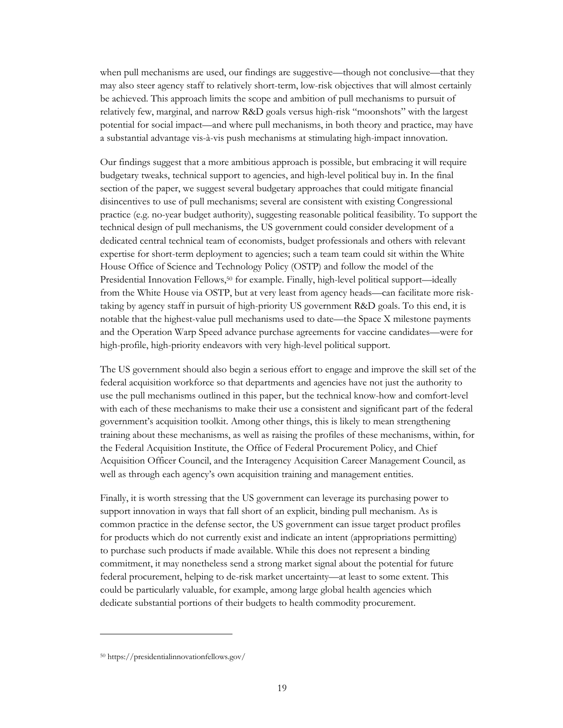when pull mechanisms are used, our findings are suggestive—though not conclusive—that they may also steer agency staff to relatively short-term, low-risk objectives that will almost certainly be achieved. This approach limits the scope and ambition of pull mechanisms to pursuit of relatively few, marginal, and narrow R&D goals versus high-risk "moonshots" with the largest potential for social impact—and where pull mechanisms, in both theory and practice, may have a substantial advantage vis-à-vis push mechanisms at stimulating high-impact innovation.

Our findings suggest that a more ambitious approach is possible, but embracing it will require budgetary tweaks, technical support to agencies, and high-level political buy in. In the final section of the paper, we suggest several budgetary approaches that could mitigate financial disincentives to use of pull mechanisms; several are consistent with existing Congressional practice (e.g. no-year budget authority), suggesting reasonable political feasibility. To support the technical design of pull mechanisms, the US government could consider development of a dedicated central technical team of economists, budget professionals and others with relevant expertise for short-term deployment to agencies; such a team team could sit within the White House Office of Science and Technology Policy (OSTP) and follow the model of the Presidential Innovation Fellows,<sup>50</sup> for example. Finally, high-level political support—ideally from the White House via OSTP, but at very least from agency heads—can facilitate more risktaking by agency staff in pursuit of high-priority US government R&D goals. To this end, it is notable that the highest-value pull mechanisms used to date—the Space X milestone payments and the Operation Warp Speed advance purchase agreements for vaccine candidates—were for high-profile, high-priority endeavors with very high-level political support.

The US government should also begin a serious effort to engage and improve the skill set of the federal acquisition workforce so that departments and agencies have not just the authority to use the pull mechanisms outlined in this paper, but the technical know-how and comfort-level with each of these mechanisms to make their use a consistent and significant part of the federal government's acquisition toolkit[. A](#page-21-0)mong other things, this is likely to mean strengthening training about these mechanisms, as well as raising the profiles of these mechanisms, within, for the Federal Acquisition Institute, the Office of Federal Procurement Policy, and Chief Acquisition Officer Council, and the Interagency Acquisition Career Management Council, as well as through each agency's own acquisition training and management entities.

Finally, it is worth stressing that the US government can leverage its purchasing power to support innovation in ways that fall short of an explicit, binding pull mechanism. As is common practice in the defense sector, the US government can issue target product profiles for products which do not currently exist and indicate an intent (appropriations permitting) to purchase such products if made available. While this does not represent a binding commitment, it may nonetheless send a strong market signal about the potential for future federal procurement, helping to de-risk market uncertainty—at least to some extent. This could be particularly valuable, for example, among large global health agencies which dedicate substantial portions of their budgets to health commodity procurement.

<span id="page-21-0"></span><sup>50</sup> <https://presidentialinnovationfellows.gov/>